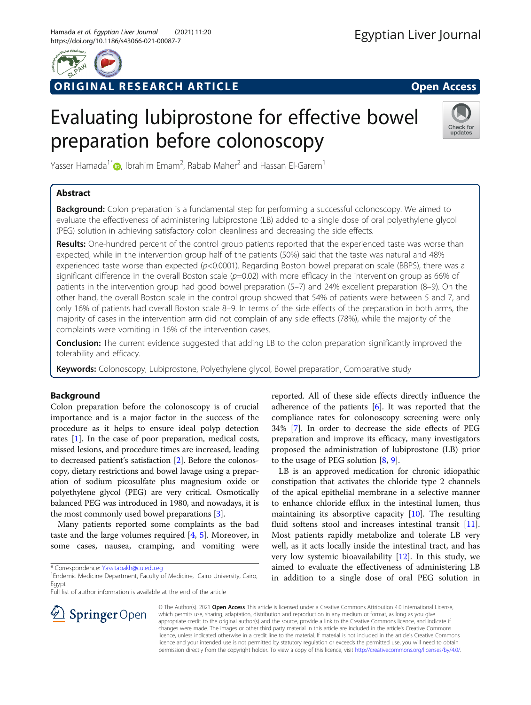

# RIGINAL RESEARCH ARTICLE **External of the Contract Contract Contract Contract Contract Contract Contract Contract Contract Contract Contract Contract Contract Contract Contract Contract Contract Contract Contract Contract**

# Evaluating lubiprostone for effective bowel preparation before colonoscopy



Yasser Hamada<sup>1\*</sup> $\textcircled{\tiny{\textcircled{\tiny{\textcirc}}}}$ [,](http://orcid.org/0000-0002-2535-0440) Ibrahim Emam<sup>2</sup>, Rabab Maher<sup>2</sup> and Hassan El-Garem<sup>1</sup>

## Abstract

**Background:** Colon preparation is a fundamental step for performing a successful colonoscopy. We aimed to evaluate the effectiveness of administering lubiprostone (LB) added to a single dose of oral polyethylene glycol (PEG) solution in achieving satisfactory colon cleanliness and decreasing the side effects.

Results: One-hundred percent of the control group patients reported that the experienced taste was worse than expected, while in the intervention group half of the patients (50%) said that the taste was natural and 48% experienced taste worse than expected (p<0.0001). Regarding Boston bowel preparation scale (BBPS), there was a significant difference in the overall Boston scale  $(p=0.02)$  with more efficacy in the intervention group as 66% of patients in the intervention group had good bowel preparation (5–7) and 24% excellent preparation (8–9). On the other hand, the overall Boston scale in the control group showed that 54% of patients were between 5 and 7, and only 16% of patients had overall Boston scale 8–9. In terms of the side effects of the preparation in both arms, the majority of cases in the intervention arm did not complain of any side effects (78%), while the majority of the complaints were vomiting in 16% of the intervention cases.

**Conclusion:** The current evidence suggested that adding LB to the colon preparation significantly improved the tolerability and efficacy.

Keywords: Colonoscopy, Lubiprostone, Polyethylene glycol, Bowel preparation, Comparative study

## Background

Colon preparation before the colonoscopy is of crucial importance and is a major factor in the success of the procedure as it helps to ensure ideal polyp detection rates [\[1](#page-4-0)]. In the case of poor preparation, medical costs, missed lesions, and procedure times are increased, leading to decreased patient's satisfaction [[2\]](#page-4-0). Before the colonoscopy, dietary restrictions and bowel lavage using a preparation of sodium picosulfate plus magnesium oxide or polyethylene glycol (PEG) are very critical. Osmotically balanced PEG was introduced in 1980, and nowadays, it is the most commonly used bowel preparations [[3](#page-4-0)].

Many patients reported some complaints as the bad taste and the large volumes required [[4,](#page-4-0) [5\]](#page-4-0). Moreover, in some cases, nausea, cramping, and vomiting were

\* Correspondence: [Yass.tabakh@cu.edu.eg](mailto:Yass.tabakh@cu.edu.eg) <sup>1</sup>

<sup>1</sup> Endemic Medicine Department, Faculty of Medicine, Cairo University, Cairo, Egypt

Full list of author information is available at the end of the article

reported. All of these side effects directly influence the adherence of the patients [[6](#page-4-0)]. It was reported that the compliance rates for colonoscopy screening were only 34% [\[7](#page-4-0)]. In order to decrease the side effects of PEG preparation and improve its efficacy, many investigators proposed the administration of lubiprostone (LB) prior to the usage of PEG solution  $[8, 9]$  $[8, 9]$  $[8, 9]$  $[8, 9]$ .

LB is an approved medication for chronic idiopathic constipation that activates the chloride type 2 channels of the apical epithelial membrane in a selective manner to enhance chloride efflux in the intestinal lumen, thus maintaining its absorptive capacity [\[10](#page-4-0)]. The resulting fluid softens stool and increases intestinal transit [\[11](#page-4-0)]. Most patients rapidly metabolize and tolerate LB very well, as it acts locally inside the intestinal tract, and has very low systemic bioavailability [\[12](#page-5-0)]. In this study, we aimed to evaluate the effectiveness of administering LB in addition to a single dose of oral PEG solution in



© The Author(s). 2021 Open Access This article is licensed under a Creative Commons Attribution 4.0 International License, which permits use, sharing, adaptation, distribution and reproduction in any medium or format, as long as you give appropriate credit to the original author(s) and the source, provide a link to the Creative Commons licence, and indicate if changes were made. The images or other third party material in this article are included in the article's Creative Commons licence, unless indicated otherwise in a credit line to the material. If material is not included in the article's Creative Commons licence and your intended use is not permitted by statutory regulation or exceeds the permitted use, you will need to obtain permission directly from the copyright holder. To view a copy of this licence, visit <http://creativecommons.org/licenses/by/4.0/>.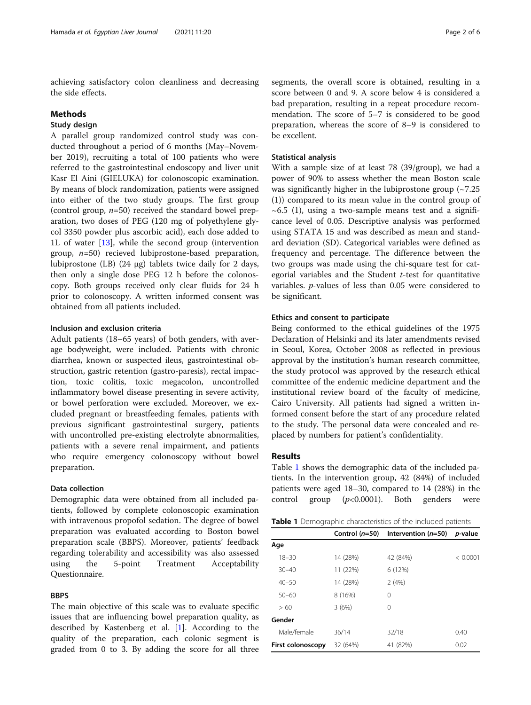achieving satisfactory colon cleanliness and decreasing the side effects.

#### **Methods**

## Study design

A parallel group randomized control study was conducted throughout a period of 6 months (May–November 2019), recruiting a total of 100 patients who were referred to the gastrointestinal endoscopy and liver unit Kasr El Aini (GIELUKA) for colonoscopic examination. By means of block randomization, patients were assigned into either of the two study groups. The first group (control group,  $n=50$ ) received the standard bowel preparation, two doses of PEG (120 mg of polyethylene glycol 3350 powder plus ascorbic acid), each dose added to 1L of water [[13\]](#page-5-0), while the second group (intervention group,  $n=50$ ) recieved lubiprostone-based preparation, lubiprostone (LB) (24 μg) tablets twice daily for 2 days, then only a single dose PEG 12 h before the colonoscopy. Both groups received only clear fluids for 24 h prior to colonoscopy. A written informed consent was obtained from all patients included.

#### Inclusion and exclusion criteria

Adult patients (18–65 years) of both genders, with average bodyweight, were included. Patients with chronic diarrhea, known or suspected ileus, gastrointestinal obstruction, gastric retention (gastro-paresis), rectal impaction, toxic colitis, toxic megacolon, uncontrolled inflammatory bowel disease presenting in severe activity, or bowel perforation were excluded. Moreover, we excluded pregnant or breastfeeding females, patients with previous significant gastrointestinal surgery, patients with uncontrolled pre-existing electrolyte abnormalities, patients with a severe renal impairment, and patients who require emergency colonoscopy without bowel preparation.

#### Data collection

Demographic data were obtained from all included patients, followed by complete colonoscopic examination with intravenous propofol sedation. The degree of bowel preparation was evaluated according to Boston bowel preparation scale (BBPS). Moreover, patients' feedback regarding tolerability and accessibility was also assessed using the 5-point Treatment Acceptability Questionnaire.

#### **BBPS**

The main objective of this scale was to evaluate specific issues that are influencing bowel preparation quality, as described by Kastenberg et al. [\[1](#page-4-0)]. According to the quality of the preparation, each colonic segment is graded from 0 to 3. By adding the score for all three segments, the overall score is obtained, resulting in a score between 0 and 9. A score below 4 is considered a bad preparation, resulting in a repeat procedure recommendation. The score of 5–7 is considered to be good preparation, whereas the score of 8–9 is considered to be excellent.

#### Statistical analysis

With a sample size of at least 78 (39/group), we had a power of 90% to assess whether the mean Boston scale was significantly higher in the lubiprostone group (~7.25 (1)) compared to its mean value in the control group of  $\sim$  6.5 (1), using a two-sample means test and a significance level of 0.05. Descriptive analysis was performed using STATA 15 and was described as mean and standard deviation (SD). Categorical variables were defined as frequency and percentage. The difference between the two groups was made using the chi-square test for categorial variables and the Student  $t$ -test for quantitative variables. p-values of less than 0.05 were considered to be significant.

#### Ethics and consent to participate

Being conformed to the ethical guidelines of the 1975 Declaration of Helsinki and its later amendments revised in Seoul, Korea, October 2008 as reflected in previous approval by the institution's human research committee, the study protocol was approved by the research ethical committee of the endemic medicine department and the institutional review board of the faculty of medicine, Cairo University. All patients had signed a written informed consent before the start of any procedure related to the study. The personal data were concealed and replaced by numbers for patient's confidentiality.

### Results

Table 1 shows the demographic data of the included patients. In the intervention group, 42 (84%) of included patients were aged 18–30, compared to 14 (28%) in the control group  $(p<0.0001)$ . Both genders were

|  |  |  |  | Table 1 Demographic characteristics of the included patients |  |
|--|--|--|--|--------------------------------------------------------------|--|
|--|--|--|--|--------------------------------------------------------------|--|

|                   | Control $(n=50)$ | Intervention $(n=50)$ | <i>p</i> -value |
|-------------------|------------------|-----------------------|-----------------|
| Age               |                  |                       |                 |
| $18 - 30$         | 14 (28%)         | 42 (84%)              | < 0.0001        |
| $30 - 40$         | 11 (22%)         | 6 (12%)               |                 |
| $40 - 50$         | 14 (28%)         | 2(4%)                 |                 |
| $50 - 60$         | 8 (16%)          | 0                     |                 |
| >60               | 3(6%)            | 0                     |                 |
| Gender            |                  |                       |                 |
| Male/female       | 36/14            | 32/18                 | 0.40            |
| First colonoscopy | 32 (64%)         | 41 (82%)              | 0.02            |
|                   |                  |                       |                 |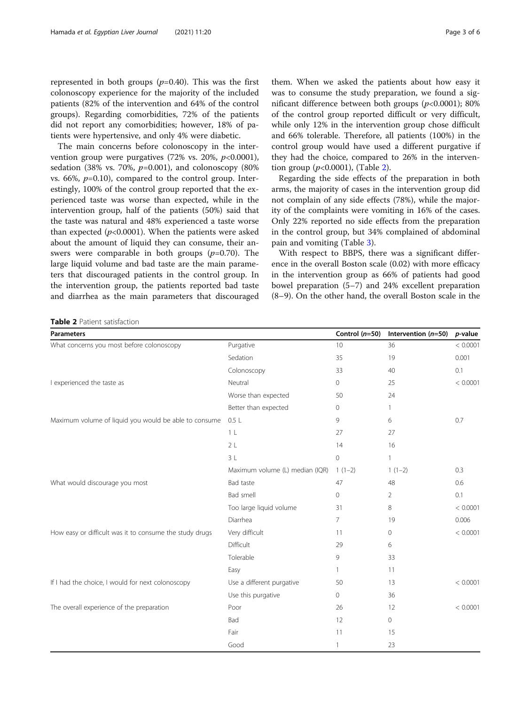represented in both groups  $(p=0.40)$ . This was the first colonoscopy experience for the majority of the included patients (82% of the intervention and 64% of the control groups). Regarding comorbidities, 72% of the patients did not report any comorbidities; however, 18% of patients were hypertensive, and only 4% were diabetic.

The main concerns before colonoscopy in the intervention group were purgatives  $(72\% \text{ vs. } 20\%, \text{ p<0.0001}),$ sedation (38% vs. 70%,  $p=0.001$ ), and colonoscopy (80%) vs. 66%,  $p=0.10$ ), compared to the control group. Interestingly, 100% of the control group reported that the experienced taste was worse than expected, while in the intervention group, half of the patients (50%) said that the taste was natural and 48% experienced a taste worse than expected  $(p<0.0001)$ . When the patients were asked about the amount of liquid they can consume, their answers were comparable in both groups  $(p=0.70)$ . The large liquid volume and bad taste are the main parameters that discouraged patients in the control group. In the intervention group, the patients reported bad taste and diarrhea as the main parameters that discouraged

them. When we asked the patients about how easy it was to consume the study preparation, we found a significant difference between both groups  $(p<0.0001)$ ; 80% of the control group reported difficult or very difficult, while only 12% in the intervention group chose difficult and 66% tolerable. Therefore, all patients (100%) in the control group would have used a different purgative if they had the choice, compared to 26% in the intervention group  $(p<0.0001)$ , (Table 2).

Regarding the side effects of the preparation in both arms, the majority of cases in the intervention group did not complain of any side effects (78%), while the majority of the complaints were vomiting in 16% of the cases. Only 22% reported no side effects from the preparation in the control group, but 34% complained of abdominal pain and vomiting (Table [3](#page-3-0)).

With respect to BBPS, there was a significant difference in the overall Boston scale (0.02) with more efficacy in the intervention group as 66% of patients had good bowel preparation (5–7) and 24% excellent preparation (8–9). On the other hand, the overall Boston scale in the

Table 2 Patient satisfaction

| <b>Parameters</b>                                       |                                 | Control $(n=50)$    | Intervention $(n=50)$ | p-value  |
|---------------------------------------------------------|---------------------------------|---------------------|-----------------------|----------|
| What concerns you most before colonoscopy               | Purgative                       | 10                  | 36                    | < 0.0001 |
|                                                         | Sedation                        | 35                  | 19                    | 0.001    |
|                                                         | Colonoscopy                     | 33                  | 40                    | 0.1      |
| I experienced the taste as                              | Neutral                         | 0                   | 25                    | < 0.0001 |
|                                                         | Worse than expected             | 50                  | 24                    |          |
|                                                         | Better than expected            | $\circ$             | 1.                    |          |
| Maximum volume of liquid you would be able to consume   | 0.5L                            | 9                   | 6                     | 0.7      |
|                                                         | 1 <sub>L</sub>                  | 27                  | 27                    |          |
|                                                         | 2L                              | 14                  | 16                    |          |
|                                                         | 3L                              | $\mathsf{O}\xspace$ |                       |          |
|                                                         | Maximum volume (L) median (IQR) | $1(1-2)$            | $1(1-2)$              | 0.3      |
| What would discourage you most                          | Bad taste                       | 47                  | 48                    | 0.6      |
|                                                         | Bad smell                       | $\circ$             | $\overline{2}$        | 0.1      |
|                                                         | Too large liquid volume         | 31                  | 8                     | < 0.0001 |
|                                                         | Diarrhea                        | $\overline{7}$      | 19                    | 0.006    |
| How easy or difficult was it to consume the study drugs | Very difficult                  | 11                  | $\circ$               | < 0.0001 |
|                                                         | Difficult                       | 29                  | 6                     |          |
|                                                         | Tolerable                       | 9                   | 33                    |          |
|                                                         | Easy                            |                     | 11                    |          |
| If I had the choice, I would for next colonoscopy       | Use a different purgative       | 50                  | 13                    | < 0.0001 |
|                                                         | Use this purgative              | 0                   | 36                    |          |
| The overall experience of the preparation               | Poor                            | 26                  | 12                    | < 0.0001 |
|                                                         | Bad                             | 12                  | 0                     |          |
|                                                         | Fair                            | 11                  | 15                    |          |
|                                                         | Good                            |                     | 23                    |          |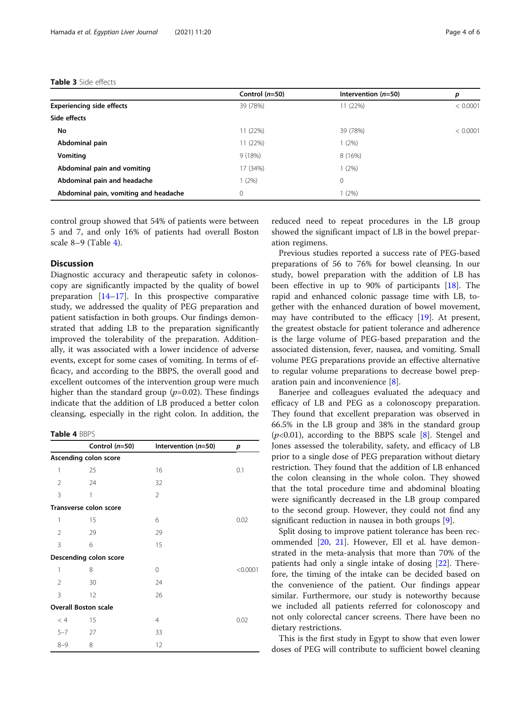#### <span id="page-3-0"></span>Table 3 Side effects

|                                       | Control $(n=50)$ | Intervention $(n=50)$ | р        |
|---------------------------------------|------------------|-----------------------|----------|
| <b>Experiencing side effects</b>      | 39 (78%)         | 11 (22%)              | < 0.0001 |
| Side effects                          |                  |                       |          |
| No                                    | 11 (22%)         | 39 (78%)              | < 0.0001 |
| Abdominal pain                        | 11 (22%)         | 1(2%)                 |          |
| <b>Vomiting</b>                       | 9(18%)           | 8 (16%)               |          |
| Abdominal pain and vomiting           | 17 (34%)         | 1(2%)                 |          |
| Abdominal pain and headache           | 1(2%)            | 0                     |          |
| Abdominal pain, vomiting and headache | 0                | 1(2%)                 |          |

control group showed that 54% of patients were between 5 and 7, and only 16% of patients had overall Boston scale 8–9 (Table 4).

## **Discussion**

Diagnostic accuracy and therapeutic safety in colonoscopy are significantly impacted by the quality of bowel preparation [[14](#page-5-0)–[17](#page-5-0)]. In this prospective comparative study, we addressed the quality of PEG preparation and patient satisfaction in both groups. Our findings demonstrated that adding LB to the preparation significantly improved the tolerability of the preparation. Additionally, it was associated with a lower incidence of adverse events, except for some cases of vomiting. In terms of efficacy, and according to the BBPS, the overall good and excellent outcomes of the intervention group were much higher than the standard group  $(p=0.02)$ . These findings indicate that the addition of LB produced a better colon cleansing, especially in the right colon. In addition, the

#### Table 4 BBPS

|         | Control $(n=50)$              | Intervention (n=50) | р        |
|---------|-------------------------------|---------------------|----------|
|         | Ascending colon score         |                     |          |
| 1       | 25                            | 16                  | 0.1      |
| 2       | 24                            | 32                  |          |
| 3       | 1                             | 2                   |          |
|         | <b>Transverse colon score</b> |                     |          |
| 1       | 15                            | 6                   | 0.02     |
| 2       | 29                            | 29                  |          |
| 3       | 6                             | 15                  |          |
|         | Descending colon score        |                     |          |
| 1       | 8                             | 0                   | < 0.0001 |
| 2       | 30                            | 24                  |          |
| 3       | 12                            | 26                  |          |
|         | <b>Overall Boston scale</b>   |                     |          |
| < 4     | 15                            | 4                   | 0.02     |
| $5 - 7$ | 27                            | 33                  |          |
| $8 - 9$ | 8                             | 12                  |          |

reduced need to repeat procedures in the LB group showed the significant impact of LB in the bowel preparation regimens.

Previous studies reported a success rate of PEG-based preparations of 56 to 76% for bowel cleansing. In our study, bowel preparation with the addition of LB has been effective in up to 90% of participants [[18\]](#page-5-0). The rapid and enhanced colonic passage time with LB, together with the enhanced duration of bowel movement, may have contributed to the efficacy [\[19](#page-5-0)]. At present, the greatest obstacle for patient tolerance and adherence is the large volume of PEG-based preparation and the associated distension, fever, nausea, and vomiting. Small volume PEG preparations provide an effective alternative to regular volume preparations to decrease bowel preparation pain and inconvenience [\[8](#page-4-0)].

Banerjee and colleagues evaluated the adequacy and efficacy of LB and PEG as a colonoscopy preparation. They found that excellent preparation was observed in 66.5% in the LB group and 38% in the standard group  $(p<0.01)$ , according to the BBPS scale [\[8](#page-4-0)]. Stengel and Jones assessed the tolerability, safety, and efficacy of LB prior to a single dose of PEG preparation without dietary restriction. They found that the addition of LB enhanced the colon cleansing in the whole colon. They showed that the total procedure time and abdominal bloating were significantly decreased in the LB group compared to the second group. However, they could not find any significant reduction in nausea in both groups [[9\]](#page-4-0).

Split dosing to improve patient tolerance has been recommended [\[20,](#page-5-0) [21](#page-5-0)]. However, Ell et al. have demonstrated in the meta-analysis that more than 70% of the patients had only a single intake of dosing [[22](#page-5-0)]. Therefore, the timing of the intake can be decided based on the convenience of the patient. Our findings appear similar. Furthermore, our study is noteworthy because we included all patients referred for colonoscopy and not only colorectal cancer screens. There have been no dietary restrictions.

This is the first study in Egypt to show that even lower doses of PEG will contribute to sufficient bowel cleaning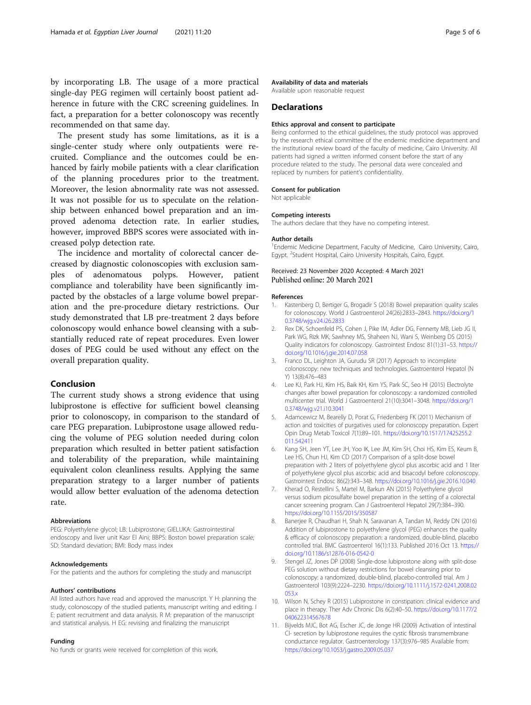<span id="page-4-0"></span>by incorporating LB. The usage of a more practical single-day PEG regimen will certainly boost patient adherence in future with the CRC screening guidelines. In fact, a preparation for a better colonoscopy was recently recommended on that same day.

The present study has some limitations, as it is a single-center study where only outpatients were recruited. Compliance and the outcomes could be enhanced by fairly mobile patients with a clear clarification of the planning procedures prior to the treatment. Moreover, the lesion abnormality rate was not assessed. It was not possible for us to speculate on the relationship between enhanced bowel preparation and an improved adenoma detection rate. In earlier studies, however, improved BBPS scores were associated with increased polyp detection rate.

The incidence and mortality of colorectal cancer decreased by diagnostic colonoscopies with exclusion samples of adenomatous polyps. However, patient compliance and tolerability have been significantly impacted by the obstacles of a large volume bowel preparation and the pre-procedure dietary restrictions. Our study demonstrated that LB pre-treatment 2 days before colonoscopy would enhance bowel cleansing with a substantially reduced rate of repeat procedures. Even lower doses of PEG could be used without any effect on the overall preparation quality.

## Conclusion

The current study shows a strong evidence that using lubiprostone is effective for sufficient bowel cleansing prior to colonoscopy, in comparison to the standard of care PEG preparation. Lubiprostone usage allowed reducing the volume of PEG solution needed during colon preparation which resulted in better patient satisfaction and tolerability of the preparation, while maintaining equivalent colon cleanliness results. Applying the same preparation strategy to a larger number of patients would allow better evaluation of the adenoma detection rate.

#### Abbreviations

PEG: Polyethylene glycol; LB: Lubiprostone; GIELUKA: Gastrointestinal endoscopy and liver unit Kasr El Aini; BBPS: Boston bowel preparation scale; SD: Standard deviation; BMI: Body mass index

#### Acknowledgements

For the patients and the authors for completing the study and manuscript

#### Authors' contributions

All listed authors have read and approved the manuscript. Y H: planning the study, colonoscopy of the studied patients, manuscript writing and editing. I E: patient recruitment and data analysis. R M: preparation of the manuscript and statistical analysis. H EG: revising and finalizing the manuscript

#### Funding

No funds or grants were received for completion of this work.

#### Availability of data and materials

Available upon reasonable request

#### **Declarations**

#### Ethics approval and consent to participate

Being conformed to the ethical guidelines, the study protocol was approved by the research ethical committee of the endemic medicine department and the institutional review board of the faculty of medicine, Cairo University. All patients had signed a written informed consent before the start of any procedure related to the study. The personal data were concealed and replaced by numbers for patient's confidentiality.

#### Consent for publication

Not applicable

#### Competing interests

The authors declare that they have no competing interest.

#### Author details

<sup>1</sup> Endemic Medicine Department, Faculty of Medicine, Cairo University, Cairo, Egypt. <sup>2</sup>Student Hospital, Cairo University Hospitals, Cairo, Egypt.

#### Received: 23 November 2020 Accepted: 4 March 2021 Published online: 20 March 2021

#### References

- 1. Kastenberg D, Bertiger G, Brogadir S (2018) Bowel preparation quality scales for colonoscopy. World J Gastroenterol 24(26):2833–2843. [https://doi.org/1](https://doi.org/10.3748/wjg.v24.i26.2833) [0.3748/wjg.v24.i26.2833](https://doi.org/10.3748/wjg.v24.i26.2833)
- 2. Rex DK, Schoenfeld PS, Cohen J, Pike IM, Adler DG, Fennerty MB, Lieb JG II, Park WG, Rizk MK, Sawhney MS, Shaheen NJ, Wani S, Weinberg DS (2015) Quality indicators for colonoscopy. Gastrointest Endosc 81(1):31–53. [https://](https://doi.org/10.1016/j.gie.2014.07.058) [doi.org/10.1016/j.gie.2014.07.058](https://doi.org/10.1016/j.gie.2014.07.058)
- 3. Franco DL, Leighton JA, Gurudu SR (2017) Approach to incomplete colonoscopy: new techniques and technologies. Gastroenterol Hepatol (N Y) 13(8):476–483
- 4. Lee KJ, Park HJ, Kim HS, Baik KH, Kim YS, Park SC, Seo HI (2015) Electrolyte changes after bowel preparation for colonoscopy: a randomized controlled multicenter trial. World J Gastroenterol 21(10):3041–3048. [https://doi.org/1](https://doi.org/10.3748/wjg.v21.i10.3041) [0.3748/wjg.v21.i10.3041](https://doi.org/10.3748/wjg.v21.i10.3041)
- 5. Adamcewicz M, Bearelly D, Porat G, Friedenberg FK (2011) Mechanism of action and toxicities of purgatives used for colonoscopy preparation. Expert Opin Drug Metab Toxicol 7(1):89–101. [https://doi.org/10.1517/17425255.2](https://doi.org/10.1517/17425255.2011.542411) [011.542411](https://doi.org/10.1517/17425255.2011.542411)
- 6. Kang SH, Jeen YT, Lee JH, Yoo IK, Lee JM, Kim SH, Choi HS, Kim ES, Keum B, Lee HS, Chun HJ, Kim CD (2017) Comparison of a split-dose bowel preparation with 2 liters of polyethylene glycol plus ascorbic acid and 1 liter of polyethylene glycol plus ascorbic acid and bisacodyl before colonoscopy. Gastrointest Endosc 86(2):343–348. <https://doi.org/10.1016/j.gie.2016.10.040>
- 7. Kherad O, Restellini S, Martel M, Barkun AN (2015) Polyethylene glycol versus sodium picosulfalte bowel preparation in the setting of a colorectal cancer screening program. Can J Gastroenterol Hepatol 29(7):384–390. <https://doi.org/10.1155/2015/350587>
- 8. Banerjee R, Chaudhari H, Shah N, Saravanan A, Tandan M, Reddy DN (2016) Addition of lubiprostone to polyethylene glycol (PEG) enhances the quality & efficacy of colonoscopy preparation: a randomized, double-blind, placebo controlled trial. BMC Gastroenterol 16(1):133. Published 2016 Oct 13. [https://](https://doi.org/10.1186/s12876-016-0542-0) [doi.org/10.1186/s12876-016-0542-0](https://doi.org/10.1186/s12876-016-0542-0)
- Stengel JZ, Jones DP (2008) Single-dose lubiprostone along with split-dose PEG solution without dietary restrictions for bowel cleansing prior to colonoscopy: a randomized, double-blind, placebo-controlled trial. Am J Gastroenterol 103(9):2224–2230. [https://doi.org/10.1111/j.1572-0241.2008.02](https://doi.org/10.1111/j.1572-0241.2008.02053.x) [053.x](https://doi.org/10.1111/j.1572-0241.2008.02053.x)
- 10. Wilson N, Schey R (2015) Lubiprostone in constipation: clinical evidence and place in therapy. Ther Adv Chronic Dis 6(2):40–50. [https://doi.org/10.1177/2](https://doi.org/10.1177/2040622314567678) [040622314567678](https://doi.org/10.1177/2040622314567678)
- 11. Bijvelds MJC, Bot AG, Escher JC, de Jonge HR (2009) Activation of intestinal Cl- secretion by lubiprostone requires the cystic fibrosis transmembrane conductance regulator. Gastroenterology 137(3):976–985 Available from: <https://doi.org/10.1053/j.gastro.2009.05.037>